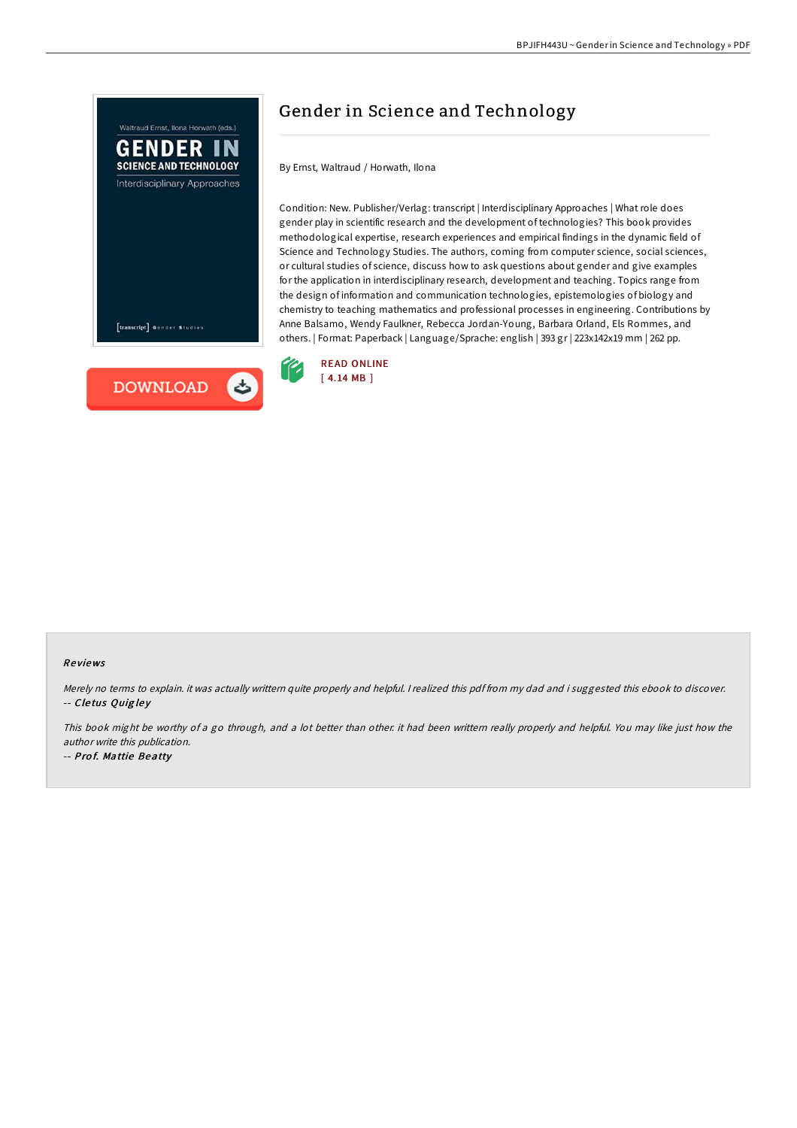

# Gender in Science and Technology

By Ernst, Waltraud / Horwath, Ilona

Condition: New. Publisher/Verlag: transcript | Interdisciplinary Approaches | What role does gender play in scientific research and the development of technologies? This book provides methodological expertise, research experiences and empirical findings in the dynamic field of Science and Technology Studies. The authors, coming from computer science, social sciences, or cultural studies of science, discuss how to ask questions about gender and give examples for the application in interdisciplinary research, development and teaching. Topics range from the design of information and communication technologies, epistemologies of biology and chemistry to teaching mathematics and professional processes in engineering. Contributions by Anne Balsamo, Wendy Faulkner, Rebecca Jordan-Young, Barbara Orland, Els Rommes, and others. | Format: Paperback | Language/Sprache: english | 393 gr | 223x142x19 mm | 262 pp.



#### Re views

Merely no terms to explain. it was actually writtern quite properly and helpful. <sup>I</sup> realized this pdf from my dad and i suggested this ebook to discover. -- Cletus Quigley

This book might be worthy of a go through, and a lot better than other. it had been writtern really properly and helpful. You may like just how the author write this publication.

-- Pro f. Mattie Beatty